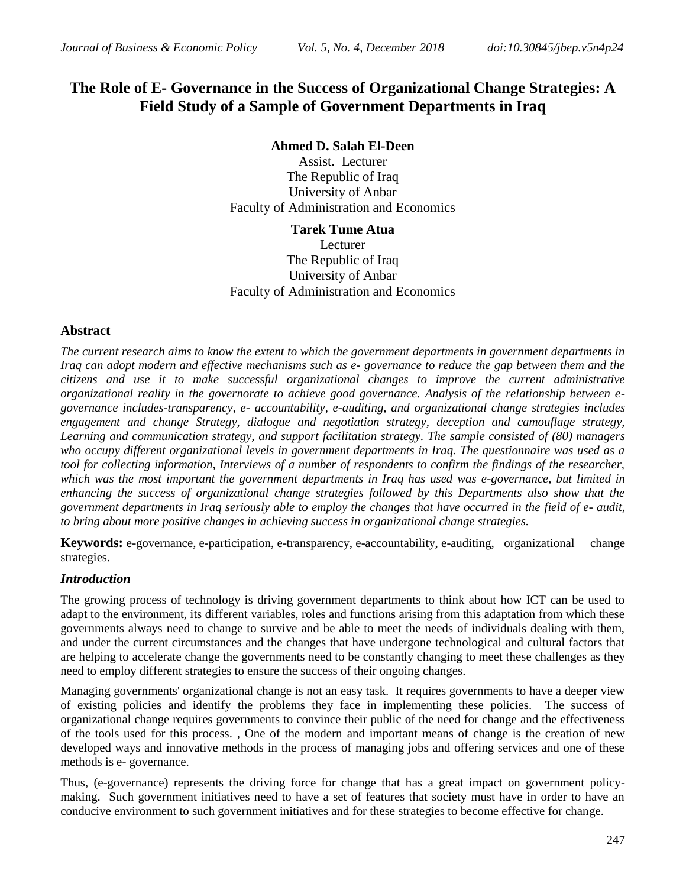# **The Role of E- Governance in the Success of Organizational Change Strategies: A Field Study of a Sample of Government Departments in Iraq**

#### **Ahmed D. Salah El-Deen**

Assist. Lecturer The Republic of Iraq University of Anbar Faculty of Administration and Economics

#### **Tarek Tume Atua**

Lecturer The Republic of Iraq University of Anbar Faculty of Administration and Economics

### **Abstract**

*The current research aims to know the extent to which the government departments in government departments in Iraq can adopt modern and effective mechanisms such as e- governance to reduce the gap between them and the citizens and use it to make successful organizational changes to improve the current administrative organizational reality in the governorate to achieve good governance. Analysis of the relationship between egovernance includes-transparency, e- accountability, e-auditing, and organizational change strategies includes engagement and change Strategy, dialogue and negotiation strategy, deception and camouflage strategy, Learning and communication strategy, and support facilitation strategy. The sample consisted of (80) managers who occupy different organizational levels in government departments in Iraq. The questionnaire was used as a tool for collecting information, Interviews of a number of respondents to confirm the findings of the researcher, which was the most important the government departments in Iraq has used was e-governance, but limited in enhancing the success of organizational change strategies followed by this Departments also show that the government departments in Iraq seriously able to employ the changes that have occurred in the field of e- audit, to bring about more positive changes in achieving success in organizational change strategies.*

**Keywords:** e-governance, e-participation, e-transparency, e-accountability, e-auditing, organizational change strategies.

# *Introduction*

The growing process of technology is driving government departments to think about how ICT can be used to adapt to the environment, its different variables, roles and functions arising from this adaptation from which these governments always need to change to survive and be able to meet the needs of individuals dealing with them, and under the current circumstances and the changes that have undergone technological and cultural factors that are helping to accelerate change the governments need to be constantly changing to meet these challenges as they need to employ different strategies to ensure the success of their ongoing changes.

Managing governments' organizational change is not an easy task. It requires governments to have a deeper view of existing policies and identify the problems they face in implementing these policies. The success of organizational change requires governments to convince their public of the need for change and the effectiveness of the tools used for this process. , One of the modern and important means of change is the creation of new developed ways and innovative methods in the process of managing jobs and offering services and one of these methods is e- governance.

Thus, (e-governance) represents the driving force for change that has a great impact on government policymaking. Such government initiatives need to have a set of features that society must have in order to have an conducive environment to such government initiatives and for these strategies to become effective for change.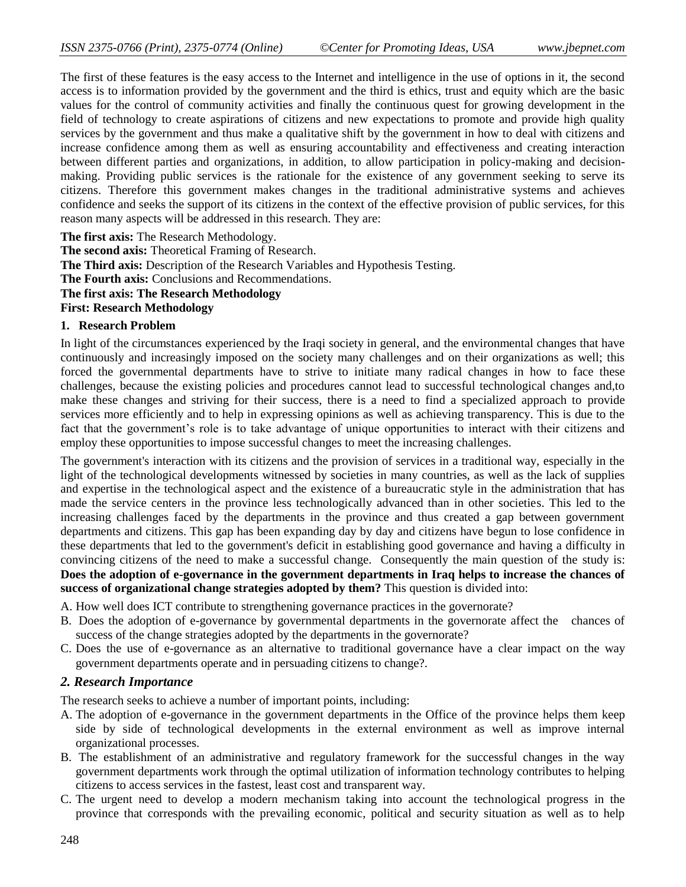The first of these features is the easy access to the Internet and intelligence in the use of options in it, the second access is to information provided by the government and the third is ethics, trust and equity which are the basic values for the control of community activities and finally the continuous quest for growing development in the field of technology to create aspirations of citizens and new expectations to promote and provide high quality services by the government and thus make a qualitative shift by the government in how to deal with citizens and increase confidence among them as well as ensuring accountability and effectiveness and creating interaction between different parties and organizations, in addition, to allow participation in policy-making and decisionmaking. Providing public services is the rationale for the existence of any government seeking to serve its citizens. Therefore this government makes changes in the traditional administrative systems and achieves confidence and seeks the support of its citizens in the context of the effective provision of public services, for this reason many aspects will be addressed in this research. They are:

**The first axis:** The Research Methodology. **The second axis:** Theoretical Framing of Research. **The Third axis:** Description of the Research Variables and Hypothesis Testing. **The Fourth axis:** Conclusions and Recommendations. **The first axis: The Research Methodology First: Research Methodology**

#### **1. Research Problem**

In light of the circumstances experienced by the Iraqi society in general, and the environmental changes that have continuously and increasingly imposed on the society many challenges and on their organizations as well; this forced the governmental departments have to strive to initiate many radical changes in how to face these challenges, because the existing policies and procedures cannot lead to successful technological changes and,to make these changes and striving for their success, there is a need to find a specialized approach to provide services more efficiently and to help in expressing opinions as well as achieving transparency. This is due to the fact that the government's role is to take advantage of unique opportunities to interact with their citizens and employ these opportunities to impose successful changes to meet the increasing challenges.

The government's interaction with its citizens and the provision of services in a traditional way, especially in the light of the technological developments witnessed by societies in many countries, as well as the lack of supplies and expertise in the technological aspect and the existence of a bureaucratic style in the administration that has made the service centers in the province less technologically advanced than in other societies. This led to the increasing challenges faced by the departments in the province and thus created a gap between government departments and citizens. This gap has been expanding day by day and citizens have begun to lose confidence in these departments that led to the government's deficit in establishing good governance and having a difficulty in convincing citizens of the need to make a successful change. Consequently the main question of the study is: **Does the adoption of e-governance in the government departments in Iraq helps to increase the chances of success of organizational change strategies adopted by them?** This question is divided into:

A. How well does ICT contribute to strengthening governance practices in the governorate?

- B. Does the adoption of e-governance by governmental departments in the governorate affect the chances of success of the change strategies adopted by the departments in the governorate?
- C. Does the use of e-governance as an alternative to traditional governance have a clear impact on the way government departments operate and in persuading citizens to change?.

#### *2. Research Importance*

The research seeks to achieve a number of important points, including:

- A. The adoption of e-governance in the government departments in the Office of the province helps them keep side by side of technological developments in the external environment as well as improve internal organizational processes.
- B. The establishment of an administrative and regulatory framework for the successful changes in the way government departments work through the optimal utilization of information technology contributes to helping citizens to access services in the fastest, least cost and transparent way.
- C. The urgent need to develop a modern mechanism taking into account the technological progress in the province that corresponds with the prevailing economic, political and security situation as well as to help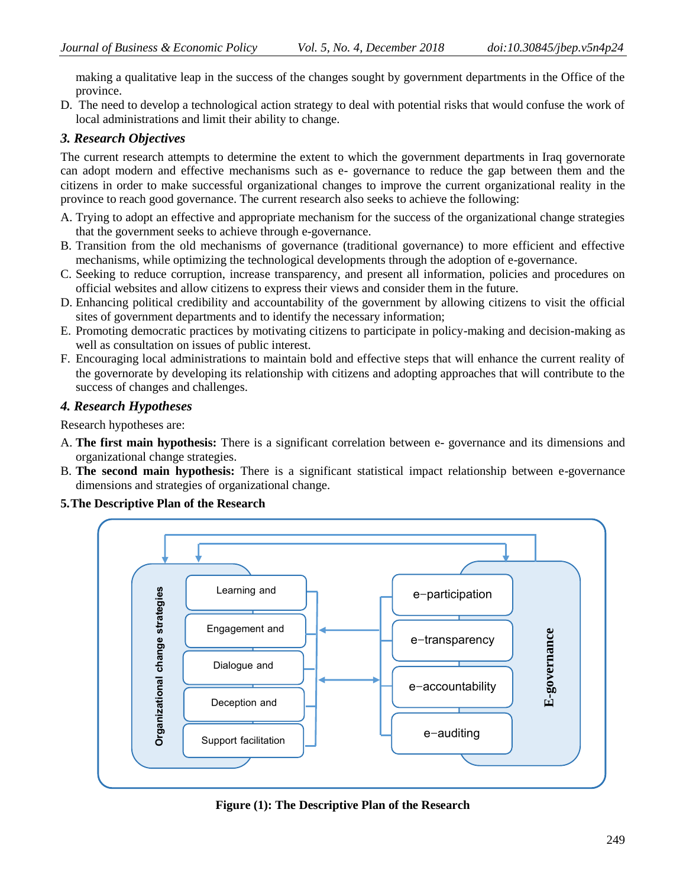making a qualitative leap in the success of the changes sought by government departments in the Office of the province.

D. The need to develop a technological action strategy to deal with potential risks that would confuse the work of local administrations and limit their ability to change.

# *3. Research Objectives*

The current research attempts to determine the extent to which the government departments in Iraq governorate can adopt modern and effective mechanisms such as e- governance to reduce the gap between them and the citizens in order to make successful organizational changes to improve the current organizational reality in the province to reach good governance. The current research also seeks to achieve the following:

- A. Trying to adopt an effective and appropriate mechanism for the success of the organizational change strategies that the government seeks to achieve through e-governance.
- B. Transition from the old mechanisms of governance (traditional governance) to more efficient and effective mechanisms, while optimizing the technological developments through the adoption of e-governance.
- C. Seeking to reduce corruption, increase transparency, and present all information, policies and procedures on official websites and allow citizens to express their views and consider them in the future.
- D. Enhancing political credibility and accountability of the government by allowing citizens to visit the official sites of government departments and to identify the necessary information;
- E. Promoting democratic practices by motivating citizens to participate in policy-making and decision-making as well as consultation on issues of public interest.
- F. Encouraging local administrations to maintain bold and effective steps that will enhance the current reality of the governorate by developing its relationship with citizens and adopting approaches that will contribute to the success of changes and challenges.

# *4. Research Hypotheses*

Research hypotheses are:

- A. **The first main hypothesis:** There is a significant correlation between e- governance and its dimensions and organizational change strategies.
- B. **The second main hypothesis:** There is a significant statistical impact relationship between e-governance dimensions and strategies of organizational change.

# **5.The Descriptive Plan of the Research**



**Figure (1): The Descriptive Plan of the Research**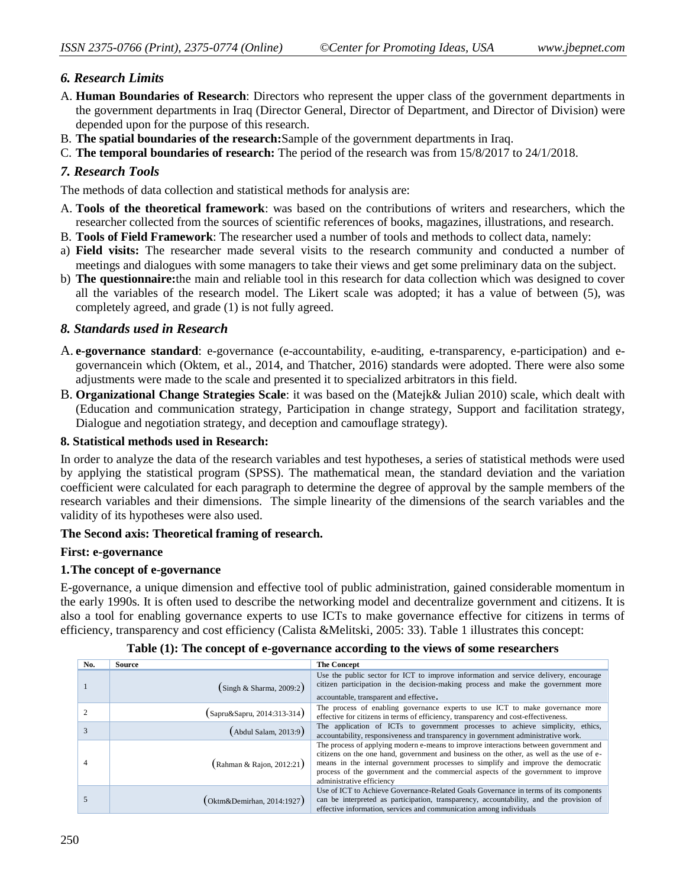# *6. Research Limits*

- A. **Human Boundaries of Research**: Directors who represent the upper class of the government departments in the government departments in Iraq (Director General, Director of Department, and Director of Division) were depended upon for the purpose of this research.
- B. **The spatial boundaries of the research:**Sample of the government departments in Iraq.
- C. **The temporal boundaries of research:** The period of the research was from 15/8/2017 to 24/1/2018.

# *7. Research Tools*

The methods of data collection and statistical methods for analysis are:

- A. **Tools of the theoretical framework**: was based on the contributions of writers and researchers, which the researcher collected from the sources of scientific references of books, magazines, illustrations, and research.
- B. **Tools of Field Framework**: The researcher used a number of tools and methods to collect data, namely:
- a) **Field visits:** The researcher made several visits to the research community and conducted a number of meetings and dialogues with some managers to take their views and get some preliminary data on the subject.
- b) **The questionnaire:**the main and reliable tool in this research for data collection which was designed to cover all the variables of the research model. The Likert scale was adopted; it has a value of between (5), was completely agreed, and grade (1) is not fully agreed.

# *8. Standards used in Research*

- A. **e-governance standard**: e-governance (e-accountability, e-auditing, e-transparency, e-participation) and egovernancein which (Oktem, et al., 2014, and Thatcher, 2016) standards were adopted. There were also some adjustments were made to the scale and presented it to specialized arbitrators in this field.
- B. **Organizational Change Strategies Scale**: it was based on the (Matejk& Julian 2010) scale, which dealt with (Education and communication strategy, Participation in change strategy, Support and facilitation strategy, Dialogue and negotiation strategy, and deception and camouflage strategy).

### **8. Statistical methods used in Research:**

In order to analyze the data of the research variables and test hypotheses, a series of statistical methods were used by applying the statistical program (SPSS). The mathematical mean, the standard deviation and the variation coefficient were calculated for each paragraph to determine the degree of approval by the sample members of the research variables and their dimensions. The simple linearity of the dimensions of the search variables and the validity of its hypotheses were also used.

#### **The Second axis: Theoretical framing of research.**

#### **First: e-governance**

#### **1.The concept of e-governance**

E-governance, a unique dimension and effective tool of public administration, gained considerable momentum in the early 1990s. It is often used to describe the networking model and decentralize government and citizens. It is also a tool for enabling governance experts to use ICTs to make governance effective for citizens in terms of efficiency, transparency and cost efficiency (Calista &Melitski, 2005: 33). Table 1 illustrates this concept:

| No. | Source                                    | <b>The Concept</b>                                                                                                                                                                                                                                                                                                                                                                       |
|-----|-------------------------------------------|------------------------------------------------------------------------------------------------------------------------------------------------------------------------------------------------------------------------------------------------------------------------------------------------------------------------------------------------------------------------------------------|
|     | $(\text{Singh} \& \text{Sharma}, 2009:2)$ | Use the public sector for ICT to improve information and service delivery, encourage<br>citizen participation in the decision-making process and make the government more<br>accountable, transparent and effective.                                                                                                                                                                     |
|     | (Sapru&Sapru, 2014:313-314)               | The process of enabling governance experts to use ICT to make governance more<br>effective for citizens in terms of efficiency, transparency and cost-effectiveness.                                                                                                                                                                                                                     |
|     | $(A$ bdul Salam, 2013:9)                  | The application of ICTs to government processes to achieve simplicity, ethics,<br>accountability, responsiveness and transparency in government administrative work.                                                                                                                                                                                                                     |
|     | (Rahman & Rajon, 2012:21)                 | The process of applying modern e-means to improve interactions between government and<br>citizens on the one hand, government and business on the other, as well as the use of e-<br>means in the internal government processes to simplify and improve the democratic<br>process of the government and the commercial aspects of the government to improve<br>administrative efficiency |
|     | $(Oktm\&\text{Demirhan}, 2014:1927)$      | Use of ICT to Achieve Governance-Related Goals Governance in terms of its components<br>can be interpreted as participation, transparency, accountability, and the provision of<br>effective information, services and communication among individuals                                                                                                                                   |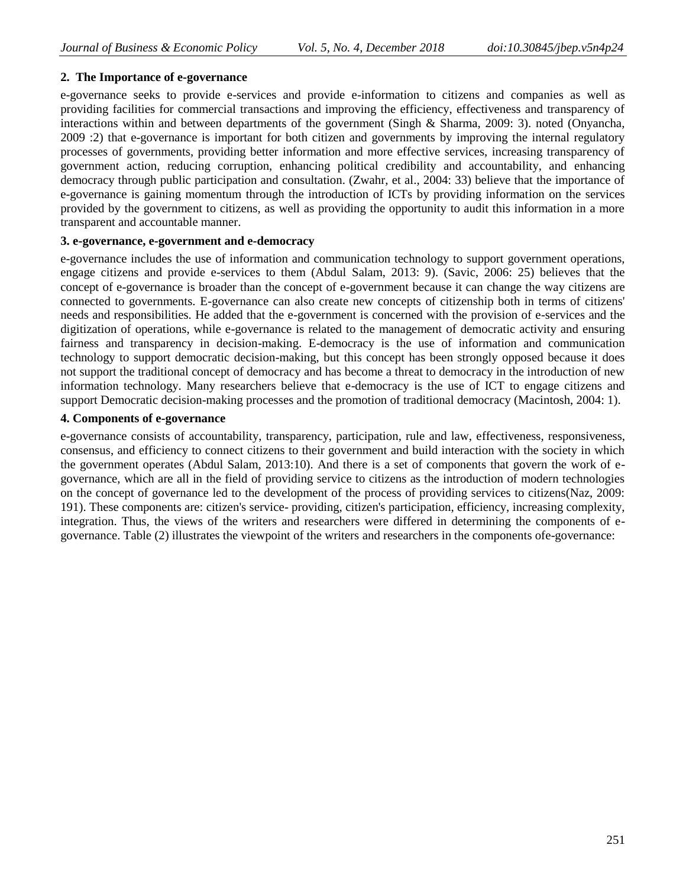# **2. The Importance of e-governance**

e-governance seeks to provide e-services and provide e-information to citizens and companies as well as providing facilities for commercial transactions and improving the efficiency, effectiveness and transparency of interactions within and between departments of the government (Singh & Sharma, 2009: 3). noted (Onyancha, 2009 :2) that e-governance is important for both citizen and governments by improving the internal regulatory processes of governments, providing better information and more effective services, increasing transparency of government action, reducing corruption, enhancing political credibility and accountability, and enhancing democracy through public participation and consultation. (Zwahr, et al., 2004: 33) believe that the importance of e-governance is gaining momentum through the introduction of ICTs by providing information on the services provided by the government to citizens, as well as providing the opportunity to audit this information in a more transparent and accountable manner.

# **3. e-governance, e-government and e-democracy**

e-governance includes the use of information and communication technology to support government operations, engage citizens and provide e-services to them (Abdul Salam, 2013: 9). (Savic, 2006: 25) believes that the concept of e-governance is broader than the concept of e-government because it can change the way citizens are connected to governments. E-governance can also create new concepts of citizenship both in terms of citizens' needs and responsibilities. He added that the e-government is concerned with the provision of e-services and the digitization of operations, while e-governance is related to the management of democratic activity and ensuring fairness and transparency in decision-making. E-democracy is the use of information and communication technology to support democratic decision-making, but this concept has been strongly opposed because it does not support the traditional concept of democracy and has become a threat to democracy in the introduction of new information technology. Many researchers believe that e-democracy is the use of ICT to engage citizens and support Democratic decision-making processes and the promotion of traditional democracy (Macintosh, 2004: 1).

# **4. Components of e-governance**

e-governance consists of accountability, transparency, participation, rule and law, effectiveness, responsiveness, consensus, and efficiency to connect citizens to their government and build interaction with the society in which the government operates (Abdul Salam, 2013:10). And there is a set of components that govern the work of egovernance, which are all in the field of providing service to citizens as the introduction of modern technologies on the concept of governance led to the development of the process of providing services to citizens(Naz, 2009: 191). These components are: citizen's service- providing, citizen's participation, efficiency, increasing complexity, integration. Thus, the views of the writers and researchers were differed in determining the components of egovernance. Table (2) illustrates the viewpoint of the writers and researchers in the components ofe-governance: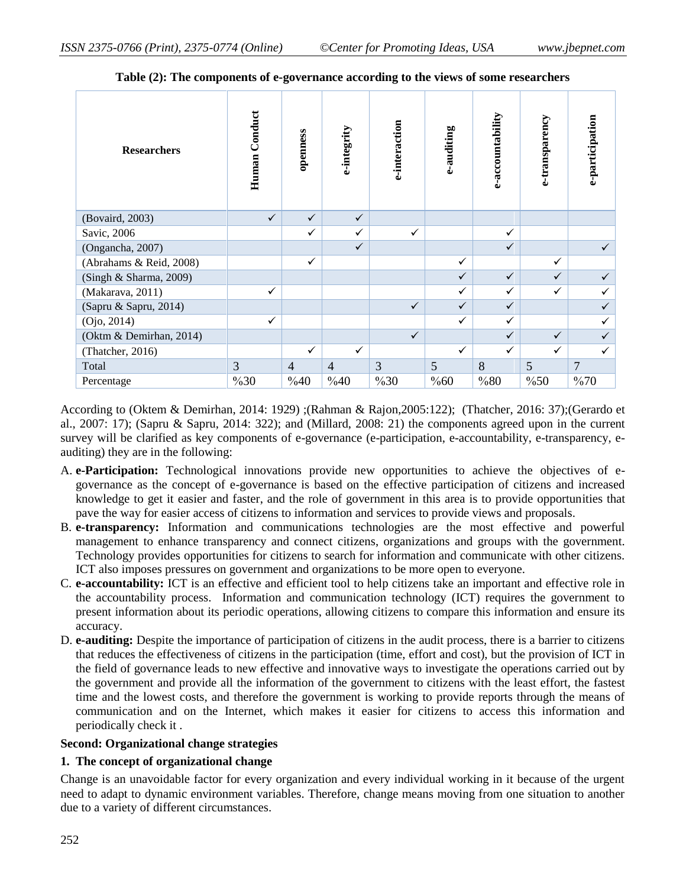| <b>Researchers</b>      | Human Conduct | openness       | e-integrity    | e-interaction | e-auditing | e-accountability | e-transparency | e-participation |
|-------------------------|---------------|----------------|----------------|---------------|------------|------------------|----------------|-----------------|
| (Bovaird, 2003)         | $\checkmark$  | $\checkmark$   | $\checkmark$   |               |            |                  |                |                 |
| Savic, 2006             |               | ✓              | ✓              | $\checkmark$  |            | $\checkmark$     |                |                 |
| (Ongancha, 2007)        |               |                | $\checkmark$   |               |            | $\checkmark$     |                | $\checkmark$    |
| (Abrahams & Reid, 2008) |               | $\checkmark$   |                |               | ✓          |                  | $\checkmark$   |                 |
| (Singh & Sharma, 2009)  |               |                |                |               | ✓          | $\checkmark$     | $\checkmark$   |                 |
| (Makarava, 2011)        | $\checkmark$  |                |                |               | ✓          | $\checkmark$     | ✓              |                 |
| (Sapru & Sapru, 2014)   |               |                |                | $\checkmark$  | ✓          | $\checkmark$     |                | ✓               |
| (Ojo, 2014)             | $\checkmark$  |                |                |               | ✓          | $\checkmark$     |                | ✓               |
| (Oktm & Demirhan, 2014) |               |                |                | $\checkmark$  |            | $\checkmark$     | $\checkmark$   |                 |
| (Thatcher, 2016)        |               | $\checkmark$   | $\checkmark$   |               | ✓          | $\checkmark$     | $\checkmark$   | ✓               |
| Total                   | 3             | $\overline{4}$ | $\overline{4}$ | 3             | 5          | 8                | 5              | 7               |
| Percentage              | %30           | %40            | %40            | %30           | %60        | %80              | %50            | %70             |

**Table (2): The components of e-governance according to the views of some researchers**

According to (Oktem & Demirhan, 2014: 1929) ;(Rahman & Rajon,2005:122); (Thatcher, 2016: 37);(Gerardo et al., 2007: 17); (Sapru & Sapru, 2014: 322); and (Millard, 2008: 21) the components agreed upon in the current survey will be clarified as key components of e-governance (e-participation, e-accountability, e-transparency, eauditing) they are in the following:

- A. **e-Participation:** Technological innovations provide new opportunities to achieve the objectives of egovernance as the concept of e-governance is based on the effective participation of citizens and increased knowledge to get it easier and faster, and the role of government in this area is to provide opportunities that pave the way for easier access of citizens to information and services to provide views and proposals.
- B. **e-transparency:** Information and communications technologies are the most effective and powerful management to enhance transparency and connect citizens, organizations and groups with the government. Technology provides opportunities for citizens to search for information and communicate with other citizens. ICT also imposes pressures on government and organizations to be more open to everyone.
- C. **e-accountability:** ICT is an effective and efficient tool to help citizens take an important and effective role in the accountability process. Information and communication technology (ICT) requires the government to present information about its periodic operations, allowing citizens to compare this information and ensure its accuracy.
- D. **e-auditing:** Despite the importance of participation of citizens in the audit process, there is a barrier to citizens that reduces the effectiveness of citizens in the participation (time, effort and cost), but the provision of ICT in the field of governance leads to new effective and innovative ways to investigate the operations carried out by the government and provide all the information of the government to citizens with the least effort, the fastest time and the lowest costs, and therefore the government is working to provide reports through the means of communication and on the Internet, which makes it easier for citizens to access this information and periodically check it .

#### **Second: Organizational change strategies**

#### **1. The concept of organizational change**

Change is an unavoidable factor for every organization and every individual working in it because of the urgent need to adapt to dynamic environment variables. Therefore, change means moving from one situation to another due to a variety of different circumstances.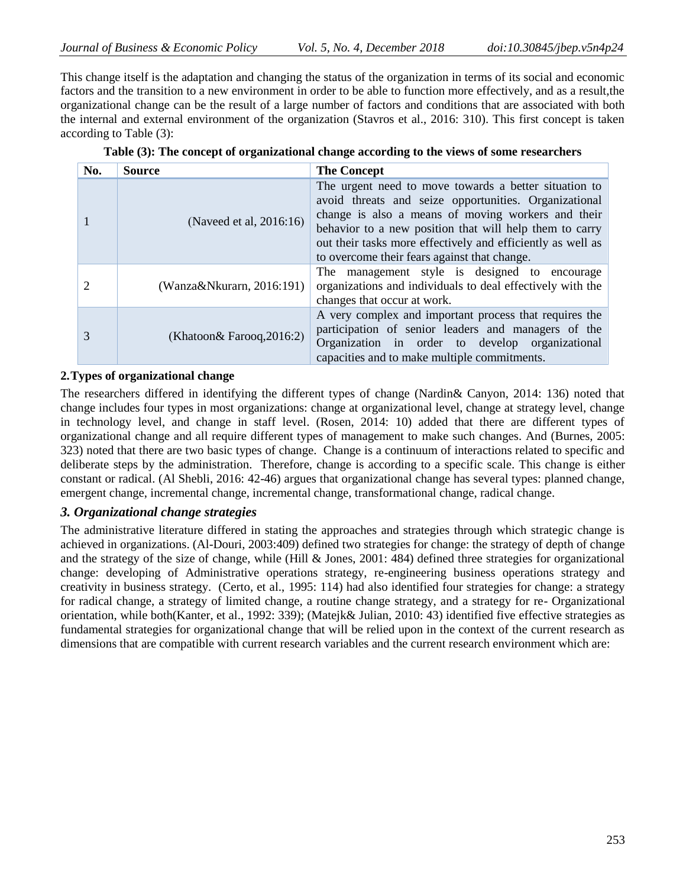This change itself is the adaptation and changing the status of the organization in terms of its social and economic factors and the transition to a new environment in order to be able to function more effectively, and as a result,the organizational change can be the result of a large number of factors and conditions that are associated with both the internal and external environment of the organization (Stavros et al., 2016: 310). This first concept is taken according to Table (3):

| No. | <b>Source</b>                | <b>The Concept</b>                                                                                                                                                                                                                                                                                                                             |
|-----|------------------------------|------------------------------------------------------------------------------------------------------------------------------------------------------------------------------------------------------------------------------------------------------------------------------------------------------------------------------------------------|
|     | (Naveed et al, 2016:16)      | The urgent need to move towards a better situation to<br>avoid threats and seize opportunities. Organizational<br>change is also a means of moving workers and their<br>behavior to a new position that will help them to carry<br>out their tasks more effectively and efficiently as well as<br>to overcome their fears against that change. |
|     | $(Wanza\&Nkurarn, 2016:191)$ | The management style is designed to encourage<br>organizations and individuals to deal effectively with the<br>changes that occur at work.                                                                                                                                                                                                     |
| 3   | (Khatoon& Farooq, 2016:2)    | A very complex and important process that requires the<br>participation of senior leaders and managers of the<br>Organization in order to develop organizational<br>capacities and to make multiple commitments.                                                                                                                               |

|  | Table (3): The concept of organizational change according to the views of some researchers |  |  |  |  |  |  |
|--|--------------------------------------------------------------------------------------------|--|--|--|--|--|--|
|--|--------------------------------------------------------------------------------------------|--|--|--|--|--|--|

# **2.Types of organizational change**

The researchers differed in identifying the different types of change (Nardin& Canyon, 2014: 136) noted that change includes four types in most organizations: change at organizational level, change at strategy level, change in technology level, and change in staff level. (Rosen, 2014: 10) added that there are different types of organizational change and all require different types of management to make such changes. And (Burnes, 2005: 323) noted that there are two basic types of change. Change is a continuum of interactions related to specific and deliberate steps by the administration. Therefore, change is according to a specific scale. This change is either constant or radical. (Al Shebli, 2016: 42-46) argues that organizational change has several types: planned change, emergent change, incremental change, incremental change, transformational change, radical change.

#### *3. Organizational change strategies*

The administrative literature differed in stating the approaches and strategies through which strategic change is achieved in organizations. (Al-Douri, 2003:409) defined two strategies for change: the strategy of depth of change and the strategy of the size of change, while (Hill & Jones, 2001: 484) defined three strategies for organizational change: developing of Administrative operations strategy, re-engineering business operations strategy and creativity in business strategy. (Certo, et al., 1995: 114) had also identified four strategies for change: a strategy for radical change, a strategy of limited change, a routine change strategy, and a strategy for re- Organizational orientation, while both(Kanter, et al., 1992: 339); (Matejk& Julian, 2010: 43) identified five effective strategies as fundamental strategies for organizational change that will be relied upon in the context of the current research as dimensions that are compatible with current research variables and the current research environment which are: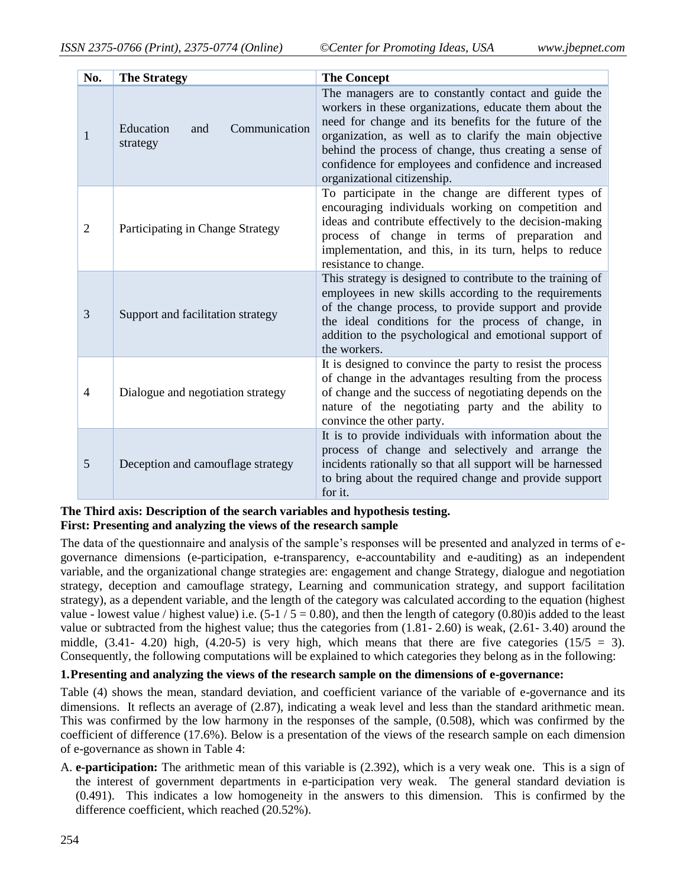| No. | <b>The Strategy</b>                           | <b>The Concept</b>                                                                                                                                                                                                                                                                                                                                                                   |
|-----|-----------------------------------------------|--------------------------------------------------------------------------------------------------------------------------------------------------------------------------------------------------------------------------------------------------------------------------------------------------------------------------------------------------------------------------------------|
| 1   | Education<br>Communication<br>and<br>strategy | The managers are to constantly contact and guide the<br>workers in these organizations, educate them about the<br>need for change and its benefits for the future of the<br>organization, as well as to clarify the main objective<br>behind the process of change, thus creating a sense of<br>confidence for employees and confidence and increased<br>organizational citizenship. |
| 2   | Participating in Change Strategy              | To participate in the change are different types of<br>encouraging individuals working on competition and<br>ideas and contribute effectively to the decision-making<br>process of change in terms of preparation and<br>implementation, and this, in its turn, helps to reduce<br>resistance to change.                                                                             |
| 3   | Support and facilitation strategy             | This strategy is designed to contribute to the training of<br>employees in new skills according to the requirements<br>of the change process, to provide support and provide<br>the ideal conditions for the process of change, in<br>addition to the psychological and emotional support of<br>the workers.                                                                         |
| 4   | Dialogue and negotiation strategy             | It is designed to convince the party to resist the process<br>of change in the advantages resulting from the process<br>of change and the success of negotiating depends on the<br>nature of the negotiating party and the ability to<br>convince the other party.                                                                                                                   |
| 5   | Deception and camouflage strategy             | It is to provide individuals with information about the<br>process of change and selectively and arrange the<br>incidents rationally so that all support will be harnessed<br>to bring about the required change and provide support<br>for it.                                                                                                                                      |

#### **The Third axis: Description of the search variables and hypothesis testing. First: Presenting and analyzing the views of the research sample**

The data of the questionnaire and analysis of the sample's responses will be presented and analyzed in terms of egovernance dimensions (e-participation, e-transparency, e-accountability and e-auditing) as an independent variable, and the organizational change strategies are: engagement and change Strategy, dialogue and negotiation strategy, deception and camouflage strategy, Learning and communication strategy, and support facilitation strategy), as a dependent variable, and the length of the category was calculated according to the equation (highest value - lowest value / highest value) i.e.  $(5-1/5 = 0.80)$ , and then the length of category  $(0.80)$  is added to the least value or subtracted from the highest value; thus the categories from (1.81- 2.60) is weak, (2.61- 3.40) around the middle,  $(3.41 - 4.20)$  high,  $(4.20 - 5)$  is very high, which means that there are five categories  $(15/5 = 3)$ . Consequently, the following computations will be explained to which categories they belong as in the following:

# **1.Presenting and analyzing the views of the research sample on the dimensions of e-governance:**

Table (4) shows the mean, standard deviation, and coefficient variance of the variable of e-governance and its dimensions. It reflects an average of (2.87), indicating a weak level and less than the standard arithmetic mean. This was confirmed by the low harmony in the responses of the sample, (0.508), which was confirmed by the coefficient of difference (17.6%). Below is a presentation of the views of the research sample on each dimension of e-governance as shown in Table 4:

A. **e-participation:** The arithmetic mean of this variable is (2.392), which is a very weak one. This is a sign of the interest of government departments in e-participation very weak. The general standard deviation is (0.491). This indicates a low homogeneity in the answers to this dimension. This is confirmed by the difference coefficient, which reached (20.52%).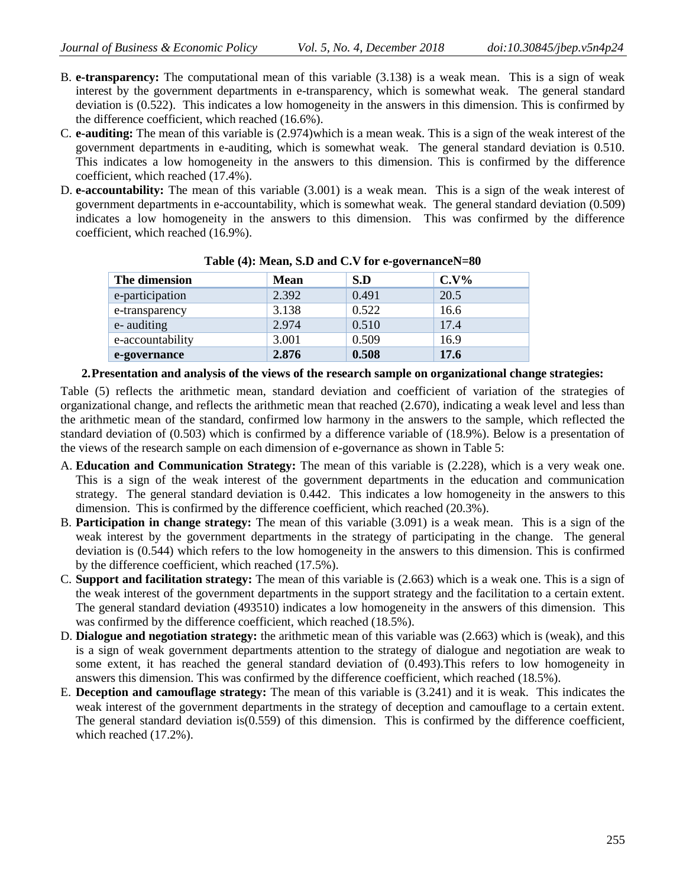- B. **e-transparency:** The computational mean of this variable (3.138) is a weak mean. This is a sign of weak interest by the government departments in e-transparency, which is somewhat weak. The general standard deviation is (0.522). This indicates a low homogeneity in the answers in this dimension. This is confirmed by the difference coefficient, which reached (16.6%).
- C. **e-auditing:** The mean of this variable is (2.974)which is a mean weak. This is a sign of the weak interest of the government departments in e-auditing, which is somewhat weak. The general standard deviation is 0.510. This indicates a low homogeneity in the answers to this dimension. This is confirmed by the difference coefficient, which reached (17.4%).
- D. **e-accountability:** The mean of this variable (3.001) is a weak mean. This is a sign of the weak interest of government departments in e-accountability, which is somewhat weak. The general standard deviation (0.509) indicates a low homogeneity in the answers to this dimension. This was confirmed by the difference coefficient, which reached (16.9%).

| The dimension    | <b>Mean</b> | S.D   | $C.V\%$     |
|------------------|-------------|-------|-------------|
| e-participation  | 2.392       | 0.491 | 20.5        |
| e-transparency   | 3.138       | 0.522 | 16.6        |
| e- auditing      | 2.974       | 0.510 | 17.4        |
| e-accountability | 3.001       | 0.509 | 16.9        |
| e-governance     | 2.876       | 0.508 | <b>17.6</b> |

#### **Table (4): Mean, S.D and C.V for e-governanceN=80**

#### **2.Presentation and analysis of the views of the research sample on organizational change strategies:**

Table (5) reflects the arithmetic mean, standard deviation and coefficient of variation of the strategies of organizational change, and reflects the arithmetic mean that reached (2.670), indicating a weak level and less than the arithmetic mean of the standard, confirmed low harmony in the answers to the sample, which reflected the standard deviation of (0.503) which is confirmed by a difference variable of (18.9%). Below is a presentation of the views of the research sample on each dimension of e-governance as shown in Table 5:

- A. **Education and Communication Strategy:** The mean of this variable is (2.228), which is a very weak one. This is a sign of the weak interest of the government departments in the education and communication strategy. The general standard deviation is 0.442. This indicates a low homogeneity in the answers to this dimension. This is confirmed by the difference coefficient, which reached (20.3%).
- B. **Participation in change strategy:** The mean of this variable (3.091) is a weak mean. This is a sign of the weak interest by the government departments in the strategy of participating in the change. The general deviation is (0.544) which refers to the low homogeneity in the answers to this dimension. This is confirmed by the difference coefficient, which reached (17.5%).
- C. **Support and facilitation strategy:** The mean of this variable is (2.663) which is a weak one. This is a sign of the weak interest of the government departments in the support strategy and the facilitation to a certain extent. The general standard deviation (493510) indicates a low homogeneity in the answers of this dimension. This was confirmed by the difference coefficient, which reached (18.5%).
- D. **Dialogue and negotiation strategy:** the arithmetic mean of this variable was (2.663) which is (weak), and this is a sign of weak government departments attention to the strategy of dialogue and negotiation are weak to some extent, it has reached the general standard deviation of (0.493).This refers to low homogeneity in answers this dimension. This was confirmed by the difference coefficient, which reached (18.5%).
- E. **Deception and camouflage strategy:** The mean of this variable is (3.241) and it is weak. This indicates the weak interest of the government departments in the strategy of deception and camouflage to a certain extent. The general standard deviation is(0.559) of this dimension. This is confirmed by the difference coefficient, which reached (17.2%).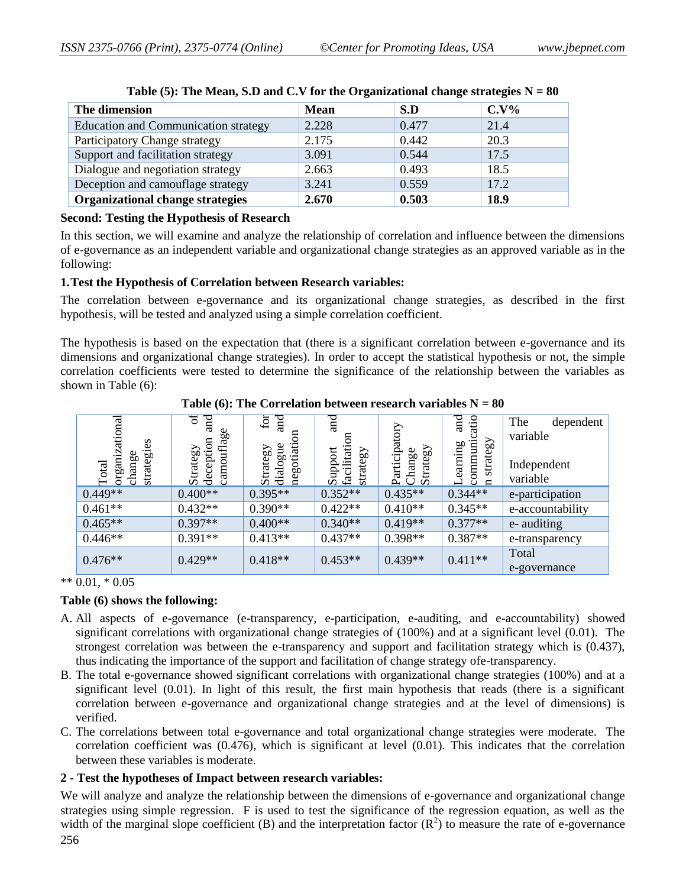| The dimension                               | <b>Mean</b> | S.D   | $C.V\%$ |
|---------------------------------------------|-------------|-------|---------|
| <b>Education and Communication strategy</b> | 2.228       | 0.477 | 21.4    |
| Participatory Change strategy               | 2.175       | 0.442 | 20.3    |
| Support and facilitation strategy           | 3.091       | 0.544 | 17.5    |
| Dialogue and negotiation strategy           | 2.663       | 0.493 | 18.5    |
| Deception and camouflage strategy           | 3.241       | 0.559 | 17.2    |
| Organizational change strategies            | 2.670       | 0.503 | 18.9    |

|  |  | Table (5): The Mean, S.D and C.V for the Organizational change strategies $N = 80$ |
|--|--|------------------------------------------------------------------------------------|

#### **Second: Testing the Hypothesis of Research**

In this section, we will examine and analyze the relationship of correlation and influence between the dimensions of e-governance as an independent variable and organizational change strategies as an approved variable as in the following:

### **1.Test the Hypothesis of Correlation between Research variables:**

The correlation between e-governance and its organizational change strategies, as described in the first hypothesis, will be tested and analyzed using a simple correlation coefficient.

The hypothesis is based on the expectation that (there is a significant correlation between e-governance and its dimensions and organizational change strategies). In order to accept the statistical hypothesis or not, the simple correlation coefficients were tested to determine the significance of the relationship between the variables as shown in Table  $(6)$ .

|                      | ಕ<br>$\overline{\text{rad}}$<br>Φ | $\overline{\mathrm{ad}}$<br>$f$ or | $\overline{\mathrm{ad}}$          |                                  | $_{\rm and}$<br>atio           | The<br>dependent |
|----------------------|-----------------------------------|------------------------------------|-----------------------------------|----------------------------------|--------------------------------|------------------|
| organizational       | camouflag                         | ទ                                  |                                   |                                  |                                | variable         |
| strategies<br>change | deception<br>Strategy             | negotiati<br>dialogue<br>Strategy  | facilitati<br>Support<br>strategy | Participat<br>Strategy<br>Change | stratesy<br>communi<br>earning | Independent      |
| Total                |                                   |                                    |                                   |                                  | $\blacksquare$                 | variable         |
| $0.449**$            | $0.400**$                         | $0.395**$                          | $0.352**$                         | $0.435**$                        | $0.344**$                      | e-participation  |
| $0.461**$            | $0.432**$                         | $0.390**$                          | $0.422**$                         | $0.410**$                        | $0.345**$                      | e-accountability |
| $0.465**$            | $0.397**$                         | $0.400**$                          | $0.340**$                         | $0.419**$                        | $0.377**$                      | e- auditing      |
| $0.446**$            | $0.391**$                         | $0.413**$                          | $0.437**$                         | $0.398**$                        | $0.387**$                      | e-transparency   |
| $0.476**$            | $0.429**$                         | $0.418**$                          | $0.453**$                         | $0.439**$                        | $0.411**$                      | Total            |
|                      |                                   |                                    |                                   |                                  |                                | e-governance     |

**Table (6): The Correlation between research variables**  $N = 80$ 

 $** 0.01, * 0.05$ 

# **Table (6) shows the following:**

- A. All aspects of e-governance (e-transparency, e-participation, e-auditing, and e-accountability) showed significant correlations with organizational change strategies of (100%) and at a significant level (0.01). The strongest correlation was between the e-transparency and support and facilitation strategy which is (0.437), thus indicating the importance of the support and facilitation of change strategy ofe-transparency.
- B. The total e-governance showed significant correlations with organizational change strategies (100%) and at a significant level (0.01). In light of this result, the first main hypothesis that reads (there is a significant correlation between e-governance and organizational change strategies and at the level of dimensions) is verified.
- C. The correlations between total e-governance and total organizational change strategies were moderate. The correlation coefficient was (0.476), which is significant at level (0.01). This indicates that the correlation between these variables is moderate.

# **2 - Test the hypotheses of Impact between research variables:**

We will analyze and analyze the relationship between the dimensions of e-governance and organizational change strategies using simple regression. F is used to test the significance of the regression equation, as well as the width of the marginal slope coefficient (B) and the interpretation factor  $(R^2)$  to measure the rate of e-governance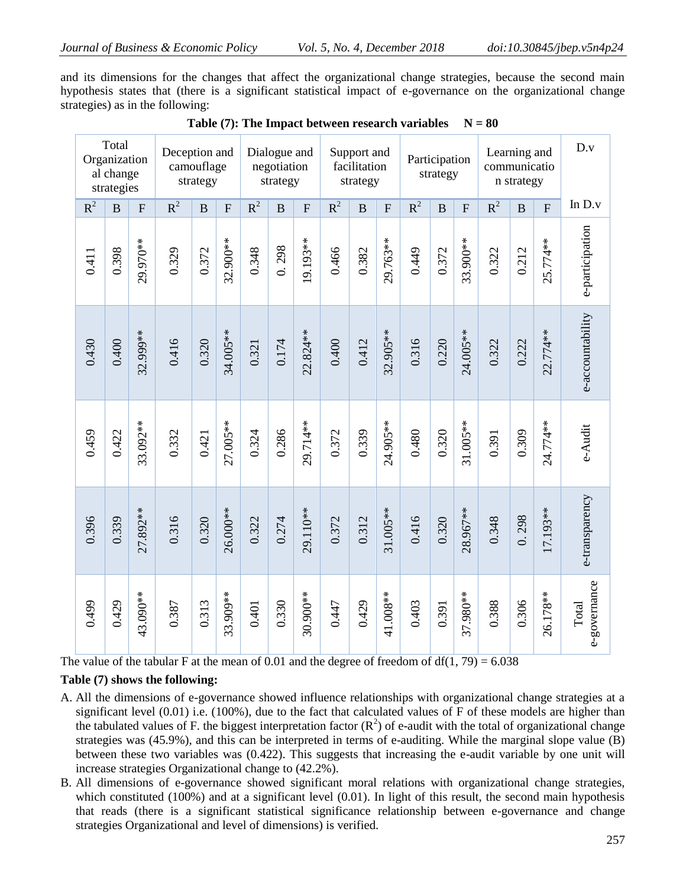and its dimensions for the changes that affect the organizational change strategies, because the second main hypothesis states that (there is a significant statistical impact of e-governance on the organizational change strategies) as in the following:

| D.v                   |                | Learning and<br>communicatio<br>n strategy |       | Participation<br>strategy |                | Support and<br>facilitation<br>strategy |              |                |       |              | Dialogue and<br>negotiation<br>strategy |       |                | camouflage<br>strategy | Deception and |              | Total<br>Organization<br>al change<br>strategies |       |
|-----------------------|----------------|--------------------------------------------|-------|---------------------------|----------------|-----------------------------------------|--------------|----------------|-------|--------------|-----------------------------------------|-------|----------------|------------------------|---------------|--------------|--------------------------------------------------|-------|
| In $D.v$              | $\overline{F}$ | B                                          | $R^2$ | $\overline{F}$            | $\overline{B}$ | $R^2$                                   | $\mathbf{F}$ | $\overline{B}$ | $R^2$ | $\mathbf{F}$ | $\overline{B}$                          | $R^2$ | $\overline{F}$ | $\mathbf B$            | $R^2$         | $\mathbf{F}$ | $\overline{B}$                                   | $R^2$ |
| e-participation       | 25.774**       | 0.212                                      | 0.322 | 33.900**                  | 0.372          | 0.449                                   | 29.763**     | 0.382          | 0.466 | 19.193**     | 0.298                                   | 0.348 | 32.900**       | 0.372                  | 0.329         | 29.970**     | 0.398                                            | 0.411 |
| e-accountability      | 22.774**       | 0.222                                      | 0.322 | 24.005**                  | 0.220          | 0.316                                   | 32.905**     | 0.412          | 0.400 | 22.824 **    | 0.174                                   | 0.321 | 34.005**       | 0.320                  | 0.416         | 32.999**     | 0.400                                            | 0.430 |
| e-Audit               | 24.774**       | 0.309                                      | 0.391 | 31.005**                  | 0.320          | 0.480                                   | 24.905**     | 0.339          | 0.372 | 29.714**     | 0.286                                   | 0.324 | 27.005**       | 0.421                  | 0.332         | 33.092**     | 0.422                                            | 0.459 |
| e-transparency        | 17.193**       | 0.298                                      | 0.348 | 28.967**                  | 0.320          | 0.416                                   | 31.005**     | 0.312          | 0.372 | 29.110**     | 0.274                                   | 0.322 | 26.000**       | 0.320                  | 0.316         | 27.892**     | 0.339                                            | 0.396 |
| e-governance<br>Total | 26.178**       | 0.306                                      | 0.388 | 37.980**                  | 0.391          | 0.403                                   | 41.008**     | 0.429          | 0.447 | 30.900**     | 0.330                                   | 0.401 | 33.909**       | 0.313                  | 0.387         | 43.090**     | 0.429                                            | 0.499 |

|  |  | Table (7): The Impact between research variables $N = 80$ |  |  |
|--|--|-----------------------------------------------------------|--|--|
|--|--|-----------------------------------------------------------|--|--|

The value of the tabular F at the mean of 0.01 and the degree of freedom of  $df(1, 79) = 6.038$ 

#### **Table (7) shows the following:**

- A. All the dimensions of e-governance showed influence relationships with organizational change strategies at a significant level (0.01) i.e. (100%), due to the fact that calculated values of F of these models are higher than the tabulated values of F. the biggest interpretation factor  $(R^2)$  of e-audit with the total of organizational change strategies was (45.9%), and this can be interpreted in terms of e-auditing. While the marginal slope value (B) between these two variables was (0.422). This suggests that increasing the e-audit variable by one unit will increase strategies Organizational change to (42.2%).
- B. All dimensions of e-governance showed significant moral relations with organizational change strategies, which constituted (100%) and at a significant level (0.01). In light of this result, the second main hypothesis that reads (there is a significant statistical significance relationship between e-governance and change strategies Organizational and level of dimensions) is verified.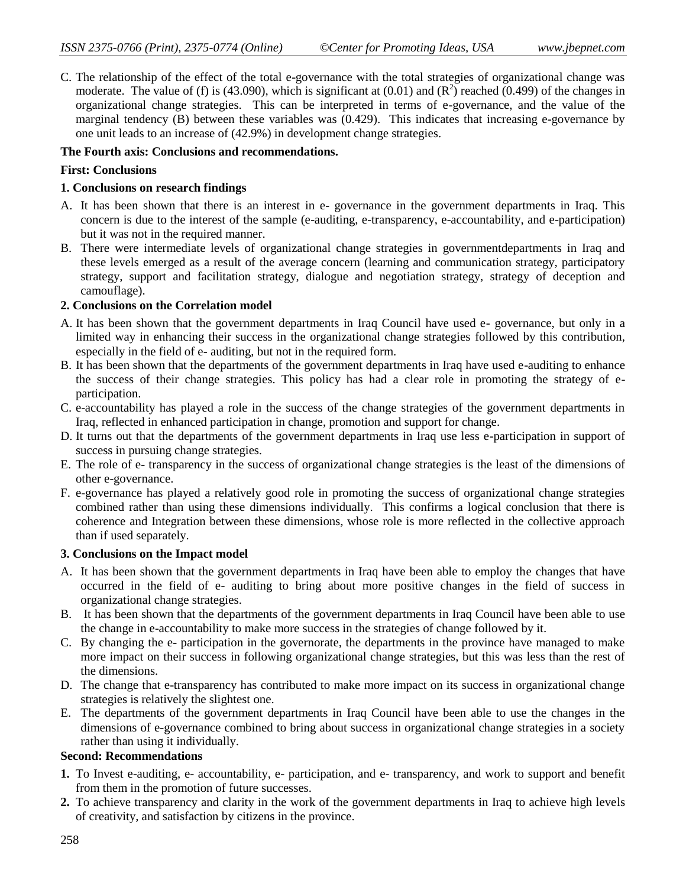C. The relationship of the effect of the total e-governance with the total strategies of organizational change was moderate. The value of (f) is (43.090), which is significant at (0.01) and  $(R^2)$  reached (0.499) of the changes in organizational change strategies. This can be interpreted in terms of e-governance, and the value of the marginal tendency (B) between these variables was (0.429). This indicates that increasing e-governance by one unit leads to an increase of (42.9%) in development change strategies.

# **The Fourth axis: Conclusions and recommendations.**

# **First: Conclusions**

# **1. Conclusions on research findings**

- A. It has been shown that there is an interest in e- governance in the government departments in Iraq. This concern is due to the interest of the sample (e-auditing, e-transparency, e-accountability, and e-participation) but it was not in the required manner.
- B. There were intermediate levels of organizational change strategies in governmentdepartments in Iraq and these levels emerged as a result of the average concern (learning and communication strategy, participatory strategy, support and facilitation strategy, dialogue and negotiation strategy, strategy of deception and camouflage).

# **2. Conclusions on the Correlation model**

- A. It has been shown that the government departments in Iraq Council have used e- governance, but only in a limited way in enhancing their success in the organizational change strategies followed by this contribution, especially in the field of e- auditing, but not in the required form.
- B. It has been shown that the departments of the government departments in Iraq have used e-auditing to enhance the success of their change strategies. This policy has had a clear role in promoting the strategy of eparticipation.
- C. e-accountability has played a role in the success of the change strategies of the government departments in Iraq, reflected in enhanced participation in change, promotion and support for change.
- D. It turns out that the departments of the government departments in Iraq use less e-participation in support of success in pursuing change strategies.
- E. The role of e- transparency in the success of organizational change strategies is the least of the dimensions of other e-governance.
- F. e-governance has played a relatively good role in promoting the success of organizational change strategies combined rather than using these dimensions individually. This confirms a logical conclusion that there is coherence and Integration between these dimensions, whose role is more reflected in the collective approach than if used separately.

#### **3. Conclusions on the Impact model**

- A. It has been shown that the government departments in Iraq have been able to employ the changes that have occurred in the field of e- auditing to bring about more positive changes in the field of success in organizational change strategies.
- B. It has been shown that the departments of the government departments in Iraq Council have been able to use the change in e-accountability to make more success in the strategies of change followed by it.
- C. By changing the e- participation in the governorate, the departments in the province have managed to make more impact on their success in following organizational change strategies, but this was less than the rest of the dimensions.
- D. The change that e-transparency has contributed to make more impact on its success in organizational change strategies is relatively the slightest one.
- E. The departments of the government departments in Iraq Council have been able to use the changes in the dimensions of e-governance combined to bring about success in organizational change strategies in a society rather than using it individually.

#### **Second: Recommendations**

- **1.** To Invest e-auditing, e- accountability, e- participation, and e- transparency, and work to support and benefit from them in the promotion of future successes.
- **2.** To achieve transparency and clarity in the work of the government departments in Iraq to achieve high levels of creativity, and satisfaction by citizens in the province.